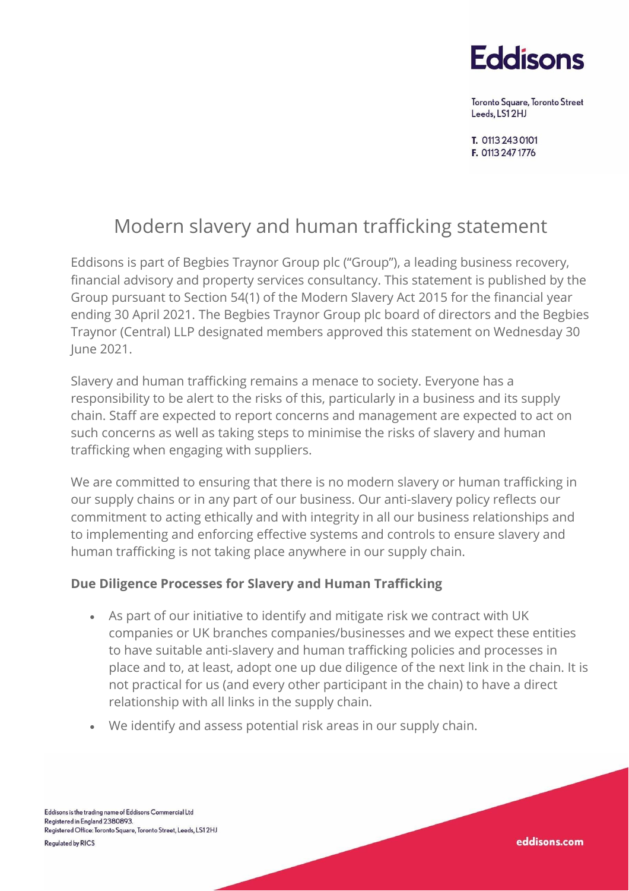

Toronto Square, Toronto Street Leeds, LS12HJ

eddisons.com

T. 0113 243 0101 F. 0113 247 1776

# Modern slavery and human trafficking statement

Eddisons is part of Begbies Traynor Group plc ("Group"), a leading business recovery, financial advisory and property services consultancy. This statement is published by the Group pursuant to Section 54(1) of the Modern Slavery Act 2015 for the financial year ending 30 April 2021. The Begbies Traynor Group plc board of directors and the Begbies Traynor (Central) LLP designated members approved this statement on Wednesday 30 June 2021.

Slavery and human trafficking remains a menace to society. Everyone has a responsibility to be alert to the risks of this, particularly in a business and its supply chain. Staff are expected to report concerns and management are expected to act on such concerns as well as taking steps to minimise the risks of slavery and human trafficking when engaging with suppliers.

We are committed to ensuring that there is no modern slavery or human trafficking in our supply chains or in any part of our business. Our anti-slavery policy reflects our commitment to acting ethically and with integrity in all our business relationships and to implementing and enforcing effective systems and controls to ensure slavery and human trafficking is not taking place anywhere in our supply chain.

#### **Due Diligence Processes for Slavery and Human Trafficking**

- As part of our initiative to identify and mitigate risk we contract with UK companies or UK branches companies/businesses and we expect these entities to have suitable anti-slavery and human trafficking policies and processes in place and to, at least, adopt one up due diligence of the next link in the chain. It is not practical for us (and every other participant in the chain) to have a direct relationship with all links in the supply chain.
- We identify and assess potential risk areas in our supply chain.